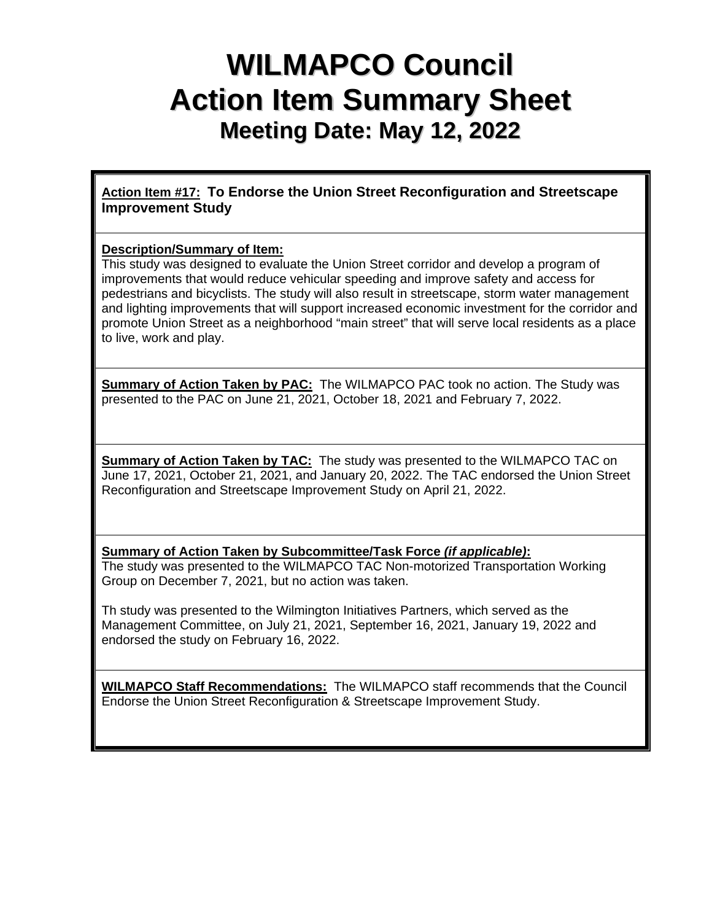# **WILMAPCO Council Action Item Summary Sheet Meeting Date: May 12, 2022**

**Action Item #17: To Endorse the Union Street Reconfiguration and Streetscape Improvement Study**

### **Description/Summary of Item:**

This study was designed to evaluate the Union Street corridor and develop a program of improvements that would reduce vehicular speeding and improve safety and access for pedestrians and bicyclists. The study will also result in streetscape, storm water management and lighting improvements that will support increased economic investment for the corridor and promote Union Street as a neighborhood "main street" that will serve local residents as a place to live, work and play.

**Summary of Action Taken by PAC:** The WILMAPCO PAC took no action. The Study was presented to the PAC on June 21, 2021, October 18, 2021 and February 7, 2022.

**Summary of Action Taken by TAC:** The study was presented to the WILMAPCO TAC on June 17, 2021, October 21, 2021, and January 20, 2022. The TAC endorsed the Union Street Reconfiguration and Streetscape Improvement Study on April 21, 2022.

**Summary of Action Taken by Subcommittee/Task Force** *(if applicable)***:** The study was presented to the WILMAPCO TAC Non-motorized Transportation Working Group on December 7, 2021, but no action was taken.

Th study was presented to the Wilmington Initiatives Partners, which served as the Management Committee, on July 21, 2021, September 16, 2021, January 19, 2022 and endorsed the study on February 16, 2022.

**WILMAPCO Staff Recommendations:** The WILMAPCO staff recommends that the Council Endorse the Union Street Reconfiguration & Streetscape Improvement Study.